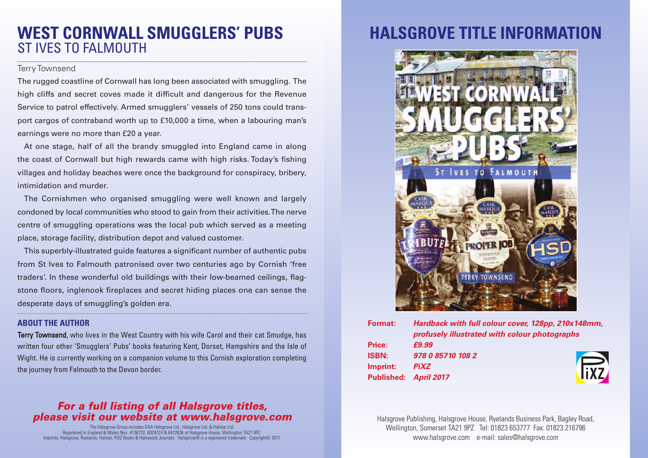## **WEST CORNWALL SMUGGLERS' PUBS** ST IVES TO FALMOUTH

#### Terry Townsend

The rugged coastline of Cornwall has long been associated with smuggling. The high cliffs and secret coves made it difficult and dangerous for the Revenue Service to patrol effectively. Armed smugglers' vessels of 250 tons could transport cargos of contraband worth up to £10,000 a time, when a labouring man's earnings were no more than £20 a year.

At one stage, half of all the brandy smuggled into England came in along the coast of Cornwall but high rewards came with high risks. Today's fishing villages and holiday beaches were once the background for conspiracy, bribery, intimidation and murder.

The Cornishmen who organised smuggling were well known and largely condoned by local communities who stood to gain from their activities.The nerve centre of smuggling operations was the local pub which served as a meeting place, storage facility, distribution depot and valued customer.

This superbly-illustrated guide features a significant number of authentic pubs from St Ives to Falmouth patronised over two centuries ago by Cornish 'free traders'. In these wonderful old buildings with their low-beamed ceilings, flagstone floors, inglenook fireplaces and secret hiding places one can sense the desperate days of smuggling's golden era.

#### **ABOUT THE AUTHOR**

Terry Townsend, who lives in the West Country with his wife Carol and their cat Smudge, has written four other 'Smugglers' Pubs' books featuring Kent, Dorset, Hampshire and the Isle of Wight. He is currently working on a companion volume to this Cornish exploration completing the journey from Falmouth to the Devon border.

### *For a full listing of all Halsgrove titles, please visit our website at www.halsgrove.com*

The Halsgrove Group includes DAA Halsgrove Ltd., Halsgrove Ltd. & Halstar Ltd. Registered in England & Wales Nos. 4136732, 6029724 & 6472636 at Halsgrove House, Wellington TA21 9PZ. Imprints: Halsgrove, Ryelands, Halstar, PiXZ Books & Halswood Journals. Halsgrove® is a registered trademark. Copyright© 2017

# **HALSGROVE TITLE INFORMATION**



| <b>Format:</b>        | Hardback with full colour cover, 128pp, 210x148mm,<br>profusely illustrated with colour photographs |
|-----------------------|-----------------------------------------------------------------------------------------------------|
| <b>Price:</b>         | £9.99                                                                                               |
| <b>ISBN:</b>          | 978 0 85710 108 2                                                                                   |
| Imprint:              | <b>Tixz</b><br><b>PiXZ</b>                                                                          |
| Published: April 2017 |                                                                                                     |
|                       |                                                                                                     |

Halsgrove Publishing, Halsgrove House, Ryelands Business Park, Bagley Road, Wellington, Somerset TA21 9PZ Tel: 01823 653777 Fax: 01823 216796 www.halsgrove.com e-mail: sales@halsgrove.com